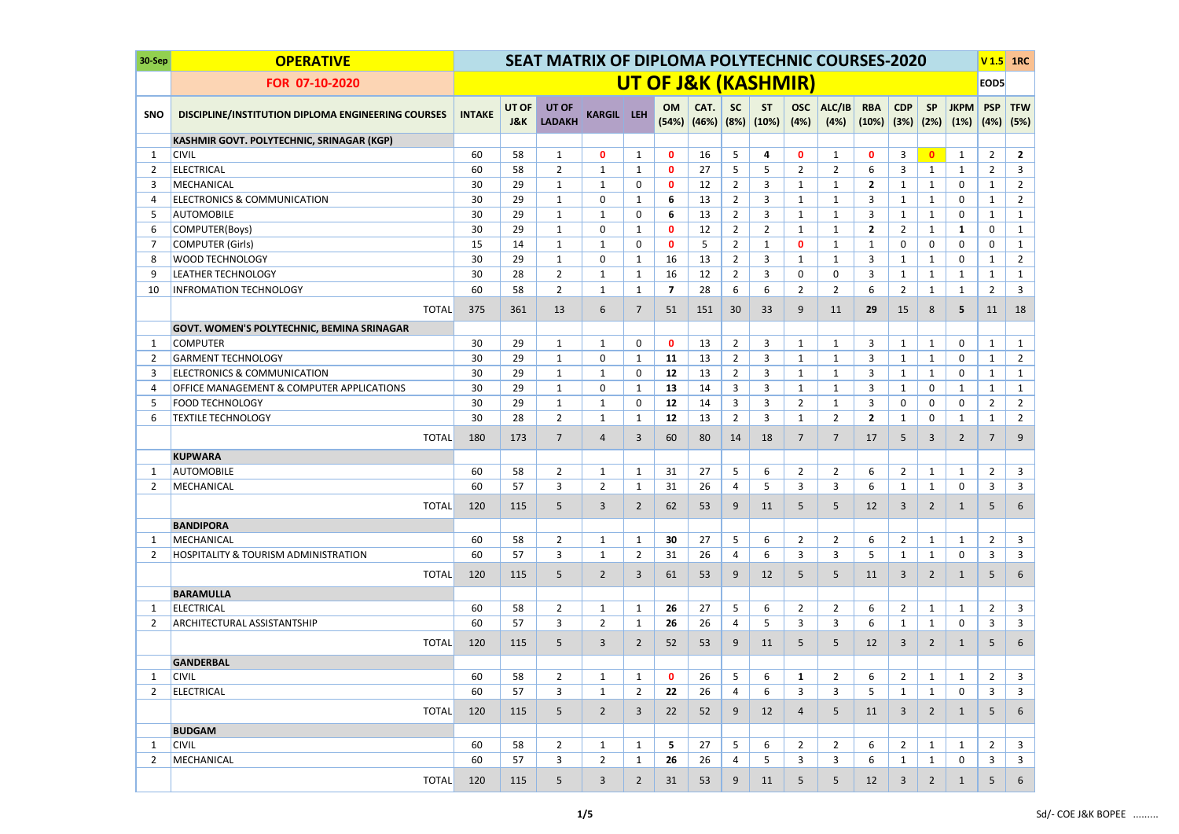| 30-Sep         | <b>OPERATIVE</b>                                          |               |                         | <b>SEAT MATRIX OF DIPLOMA POLYTECHNIC COURSES-2020</b> |                   |                |                         |      |                |                                             |                    |                |                                        |                |                |                     | V <sub>1.5</sub>   | 1RC                |
|----------------|-----------------------------------------------------------|---------------|-------------------------|--------------------------------------------------------|-------------------|----------------|-------------------------|------|----------------|---------------------------------------------|--------------------|----------------|----------------------------------------|----------------|----------------|---------------------|--------------------|--------------------|
|                | FOR 07-10-2020                                            |               |                         |                                                        |                   |                |                         |      |                | <b>UT OF J&amp;K (KASHMIR)</b>              |                    |                |                                        |                |                |                     | EOD5               |                    |
| <b>SNO</b>     | <b>DISCIPLINE/INSTITUTION DIPLOMA ENGINEERING COURSES</b> | <b>INTAKE</b> | UT OF<br><b>J&amp;K</b> | UT OF<br><b>LADAKH</b>                                 | <b>KARGIL LEH</b> |                | OM                      | CAT. | <b>SC</b>      | <b>ST</b><br>$(54%)$ $(46%)$ $(8%)$ $(10%)$ | <b>OSC</b><br>(4%) | ALC/IB<br>(4%) | <b>RBA</b><br>$(10\%)$ $(3\%)$ $(2\%)$ | <b>CDP</b>     | <b>SP</b>      | <b>JKPM</b><br>(1%) | <b>PSP</b><br>(4%) | <b>TFW</b><br>(5%) |
|                | KASHMIR GOVT. POLYTECHNIC, SRINAGAR (KGP)                 |               |                         |                                                        |                   |                |                         |      |                |                                             |                    |                |                                        |                |                |                     |                    |                    |
| $\mathbf 1$    | <b>CIVIL</b>                                              | 60            | 58                      | $\mathbf{1}$                                           | $\mathbf 0$       | $\mathbf{1}$   | $\mathbf 0$             | 16   | 5              | 4                                           | $\mathbf 0$        | $\mathbf{1}$   | $\mathbf 0$                            | 3              | $\mathbf{0}$   | 1                   | $\overline{2}$     | $\overline{2}$     |
| $\overline{2}$ | <b>ELECTRICAL</b>                                         | 60            | 58                      | $\overline{2}$                                         | $\mathbf{1}$      | 1              | $\mathbf{0}$            | 27   | 5              | 5                                           | $\overline{2}$     | $\overline{2}$ | 6                                      | 3              | $\mathbf{1}$   | 1                   | $\overline{2}$     | $\mathbf{3}$       |
| 3              | MECHANICAL                                                | 30            | 29                      | $\mathbf{1}$                                           | 1                 | 0              | $\mathbf 0$             | 12   | $\overline{2}$ | 3                                           | $\mathbf{1}$       | $\mathbf{1}$   | $\mathbf{2}$                           | 1              | 1              | 0                   | 1                  | $\overline{2}$     |
| 4              | <b>ELECTRONICS &amp; COMMUNICATION</b>                    | 30            | 29                      | 1                                                      | 0                 | 1              | 6                       | 13   | $\overline{2}$ | 3                                           | $\mathbf{1}$       | $\mathbf{1}$   | 3                                      | 1              | $\mathbf{1}$   | 0                   | $\mathbf{1}$       | $\overline{2}$     |
| 5              | <b>AUTOMOBILE</b>                                         | 30            | 29                      | 1                                                      | 1                 | 0              | 6                       | 13   | $\overline{2}$ | 3                                           | $\mathbf{1}$       | $\mathbf{1}$   | 3                                      | 1              | 1              | 0                   | 1                  | $\mathbf{1}$       |
| 6              | COMPUTER(Boys)                                            | 30            | 29                      | $\mathbf{1}$                                           | 0                 | 1              | $\mathbf{0}$            | 12   | $\overline{2}$ | $\overline{2}$                              | 1                  | $\mathbf{1}$   | $\mathbf{2}$                           | $\overline{2}$ | $\mathbf{1}$   | 1                   | 0                  | $\mathbf{1}$       |
| -7             | <b>COMPUTER (Girls)</b>                                   | 15            | 14                      | $\mathbf{1}$                                           | 1                 | 0              | $\mathbf{0}$            | 5    | $\overline{2}$ | $\mathbf{1}$                                | $\mathbf{0}$       | $\mathbf{1}$   | 1                                      | 0              | 0              | $\mathbf{0}$        | 0                  | $\mathbf{1}$       |
| 8              | <b>WOOD TECHNOLOGY</b>                                    | 30            | 29                      | $\mathbf{1}$                                           | 0                 | $\mathbf{1}$   | 16                      | 13   | $\overline{2}$ | 3                                           | 1                  | $\mathbf{1}$   | 3                                      | 1              | $\mathbf{1}$   | $\mathbf{0}$        | $\mathbf{1}$       | $\overline{2}$     |
| 9              | <b>LEATHER TECHNOLOGY</b>                                 | 30            | 28                      | $\overline{2}$                                         | $\mathbf{1}$      | $\mathbf{1}$   | 16                      | 12   | $\overline{2}$ | 3                                           | 0                  | 0              | 3                                      | 1              | $\mathbf{1}$   | $\mathbf 1$         | 1                  | $\mathbf{1}$       |
| 10             | <b>INFROMATION TECHNOLOGY</b>                             | 60            | 58                      | $\overline{2}$                                         | $\mathbf{1}$      | $\mathbf{1}$   | $\overline{\mathbf{z}}$ | 28   | 6              | 6                                           | $\overline{2}$     | $\overline{2}$ | 6                                      | $\overline{2}$ | $\mathbf{1}$   | $\mathbf{1}$        | $\overline{2}$     | $\mathbf{3}$       |
|                | <b>TOTAL</b>                                              | 375           | 361                     | 13                                                     | 6                 | $\overline{7}$ | 51                      | 151  | 30             | 33                                          | 9                  | 11             | 29                                     | 15             | 8              | 5                   | 11                 | 18                 |
|                | <b>GOVT. WOMEN'S POLYTECHNIC, BEMINA SRINAGAR</b>         |               |                         |                                                        |                   |                |                         |      |                |                                             |                    |                |                                        |                |                |                     |                    |                    |
| $\mathbf{1}$   | <b>COMPUTER</b>                                           | 30            | 29                      | $\mathbf{1}$                                           | $\mathbf{1}$      | $\mathbf{0}$   | $\mathbf 0$             | 13   | $\overline{2}$ | 3                                           | $\mathbf{1}$       | $\mathbf{1}$   | 3                                      | $\mathbf{1}$   | $\mathbf{1}$   | 0                   | $\mathbf{1}$       | $\mathbf{1}$       |
| $\overline{2}$ | <b>GARMENT TECHNOLOGY</b>                                 | 30            | 29                      | $\mathbf{1}$                                           | 0                 | 1              | 11                      | 13   | $\overline{2}$ | 3                                           | $\mathbf{1}$       | $\mathbf{1}$   | 3                                      | 1              | $\mathbf{1}$   | 0                   | $\mathbf{1}$       | $\overline{2}$     |
| 3              | <b>ELECTRONICS &amp; COMMUNICATION</b>                    | 30            | 29                      | $\mathbf{1}$                                           | $\mathbf{1}$      | $\mathbf{0}$   | 12                      | 13   | $\overline{2}$ | 3                                           | $\mathbf{1}$       | $\mathbf{1}$   | 3                                      | $\mathbf{1}$   | $\mathbf{1}$   | 0                   | $\mathbf{1}$       | $\mathbf{1}$       |
| 4              | <b>OFFICE MANAGEMENT &amp; COMPUTER APPLICATIONS</b>      | 30            | 29                      | $\mathbf{1}$                                           | 0                 | $\mathbf{1}$   | 13                      | 14   | 3              | 3                                           | $\mathbf{1}$       | $\mathbf{1}$   | 3                                      | 1              | 0              | 1                   | 1                  | $\mathbf{1}$       |
| 5              | <b>FOOD TECHNOLOGY</b>                                    | 30            | 29                      | $\mathbf{1}$                                           | $\mathbf{1}$      | $\Omega$       | 12                      | 14   | 3              | 3                                           | $\overline{2}$     | $\mathbf{1}$   | 3                                      | 0              | $\mathbf 0$    | $\mathbf 0$         | $\overline{2}$     | $\overline{2}$     |
| 6              | <b>TEXTILE TECHNOLOGY</b>                                 | 30            | 28                      | $\overline{2}$                                         | $\mathbf{1}$      | 1              | 12                      | 13   | $\overline{2}$ | 3                                           | $\mathbf{1}$       | $\overline{2}$ | $\overline{2}$                         | 1              | 0              | 1                   | 1                  | $\overline{2}$     |
|                | <b>TOTAL</b>                                              | 180           | 173                     | $\overline{7}$                                         | 4                 | 3              | 60                      | 80   | 14             | 18                                          | $\overline{7}$     | $\overline{7}$ | 17                                     | 5              | $\overline{3}$ | $\overline{2}$      | $\overline{7}$     | 9                  |
|                | <b>KUPWARA</b>                                            |               |                         |                                                        |                   |                |                         |      |                |                                             |                    |                |                                        |                |                |                     |                    |                    |
| -1             | <b>AUTOMOBILE</b>                                         | 60            | 58                      | $\overline{2}$                                         | $\mathbf{1}$      | 1              | 31                      | 27   | 5              | 6                                           | $\overline{2}$     | $\overline{2}$ | 6                                      | $\overline{2}$ | 1              | 1                   | $\overline{2}$     | $\mathsf{3}$       |
| 2              | MECHANICAL                                                | 60            | 57                      | 3                                                      | $\overline{2}$    | 1              | 31                      | 26   | 4              | 5                                           | 3                  | $\overline{3}$ | 6                                      | 1              | $\mathbf{1}$   | $\mathbf 0$         | 3                  | $\mathbf{3}$       |
|                | <b>TOTAL</b>                                              | 120           | 115                     | 5                                                      | 3                 | 2              | 62                      | 53   | 9              | 11                                          | 5                  | 5              | 12                                     | 3              | $\overline{2}$ | 1                   | 5                  | 6                  |
|                | <b>BANDIPORA</b>                                          |               |                         |                                                        |                   |                |                         |      |                |                                             |                    |                |                                        |                |                |                     |                    |                    |
| 1              | MECHANICAL                                                | 60            | 58                      | $\overline{2}$                                         | $\mathbf{1}$      | $\mathbf{1}$   | 30                      | 27   | 5              | 6                                           | $\overline{2}$     | $\overline{2}$ | 6                                      | $\overline{2}$ | $\mathbf{1}$   | $\mathbf{1}$        | $\overline{2}$     | 3                  |
| 2              | <b>HOSPITALITY &amp; TOURISM ADMINISTRATION</b>           | 60            | 57                      | 3                                                      | $\mathbf{1}$      | $\overline{2}$ | 31                      | 26   | 4              | 6                                           | 3                  | 3              | 5                                      | 1              | $\mathbf{1}$   | 0                   | 3                  | 3                  |
|                | <b>TOTAL</b>                                              | 120           | 115                     | 5                                                      | $\overline{2}$    | 3              | 61                      | 53   | 9              | 12                                          | 5                  | 5 <sup>5</sup> | 11                                     | 3              | $2^{\circ}$    | $\mathbf{1}$        | 5                  | 6                  |
|                | <b>BARAMULLA</b>                                          |               |                         |                                                        |                   |                |                         |      |                |                                             |                    |                |                                        |                |                |                     |                    |                    |
| -1             | <b>ELECTRICAL</b>                                         | 60            | 58                      | $\overline{2}$                                         | 1                 | 1              | 26                      | 27   | 5              | 6                                           | $\overline{2}$     | $\overline{2}$ | 6                                      | $\overline{2}$ | $\mathbf{1}$   | 1                   | $\overline{2}$     | 3                  |
| 2              | <b>ARCHITECTURAL ASSISTANTSHIP</b>                        | 60            | 57                      | 3                                                      | $\overline{2}$    | $\mathbf{1}$   | 26                      | 26   | 4              | 5                                           | 3                  | 3              | 6                                      | $\mathbf{1}$   | $\mathbf{1}$   | 0                   | 3                  | 3                  |
|                | <b>TOTAL</b>                                              | 120           | 115                     | 5                                                      | 3                 | $\overline{2}$ | 52                      | 53   | 9              | 11                                          | 5                  | 5 <sup>5</sup> | 12                                     | 3              | $\overline{2}$ | $\mathbf{1}$        | 5                  | 6                  |
|                | <b>GANDERBAL</b>                                          |               |                         |                                                        |                   |                |                         |      |                |                                             |                    |                |                                        |                |                |                     |                    |                    |
| 1              | <b>CIVIL</b>                                              | 60            | 58                      | $\overline{2}$                                         | $\mathbf{1}$      | $\mathbf{1}$   | $\mathbf{0}$            | 26   | 5              | 6                                           | $\mathbf{1}$       | $\overline{2}$ | 6                                      | $\overline{2}$ | $\mathbf{1}$   | $\mathbf{1}$        | $\overline{2}$     | 3                  |
| -2             | <b>ELECTRICAL</b>                                         | 60            | 57                      | 3                                                      | $\mathbf{1}$      | $\mathbf{2}$   | 22                      | 26   | 4              | 6                                           | 3                  | 3              | 5                                      | 1              | $\mathbf{1}$   | 0                   | 3                  | 3                  |
|                | <b>TOTAL</b>                                              | 120           | 115                     | 5                                                      | $2^{\circ}$       | 3              | 22                      | 52   | 9              | 12                                          | 4                  | 5 <sup>5</sup> | 11                                     | 3              | $2^{\circ}$    | $\mathbf{1}$        | 5                  | 6                  |
|                | <b>BUDGAM</b>                                             |               |                         |                                                        |                   |                |                         |      |                |                                             |                    |                |                                        |                |                |                     |                    |                    |
| -1             | <b>CIVIL</b>                                              | 60            | 58                      | $\overline{2}$                                         | $\mathbf{1}$      | $\mathbf{1}$   | 5                       | 27   | 5              | 6                                           | $\overline{2}$     | $\overline{2}$ | 6                                      | $\overline{2}$ | $\mathbf{1}$   | 1                   | $\overline{2}$     | $\mathbf{3}$       |
| 2              | MECHANICAL                                                | 60            | 57                      | 3                                                      | $\overline{2}$    | $\mathbf{1}$   | 26                      | 26   | 4              | 5                                           | 3                  | 3              | 6                                      | 1              | $\mathbf{1}$   | 0                   | 3                  | 3                  |
|                | <b>TOTAL</b>                                              | 120           | 115                     | 5                                                      | $\mathbf{3}$      | $\overline{2}$ | 31                      | 53   | 9              | 11                                          | 5                  | 5              | 12                                     | 3              | $2^{\circ}$    | $\mathbf{1}$        | 5                  | 6                  |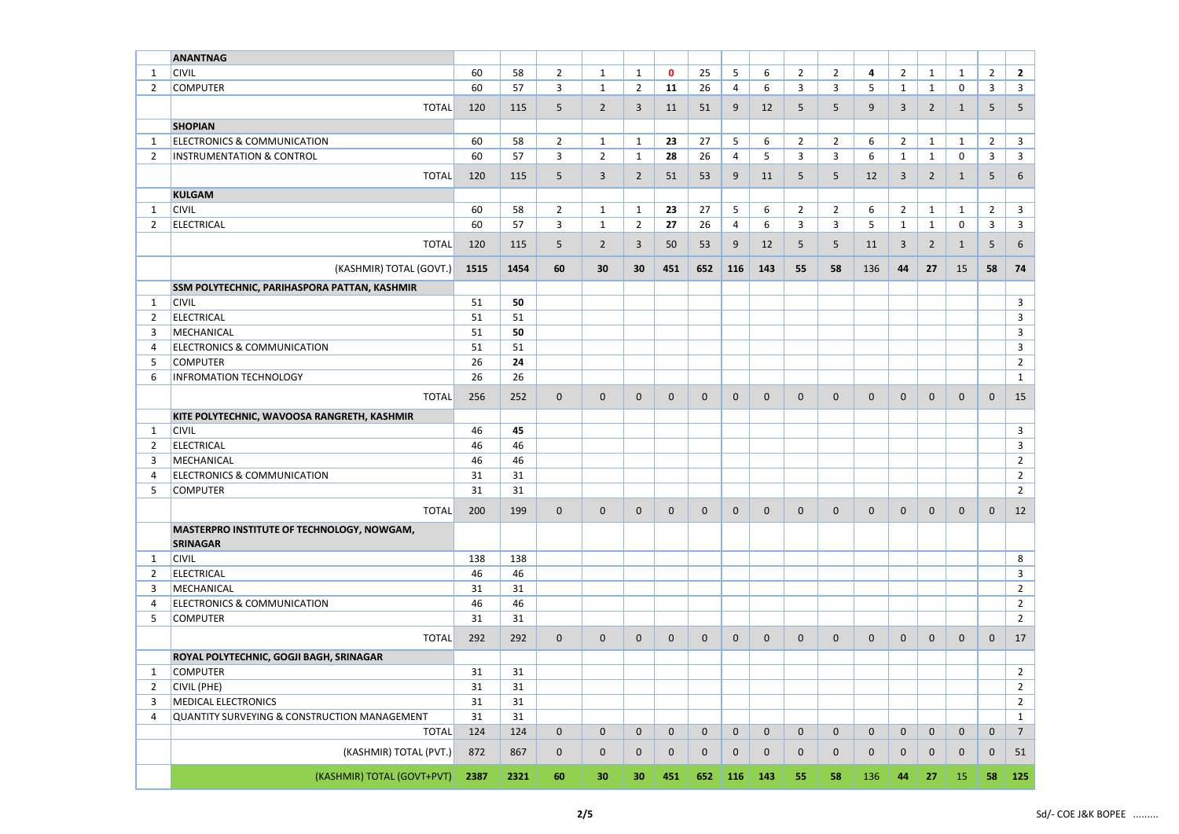|                | <b>ANANTNAG</b>                                               |      |      |                |                |                |             |              |                |             |                |                |                |                |                |              |                |                |
|----------------|---------------------------------------------------------------|------|------|----------------|----------------|----------------|-------------|--------------|----------------|-------------|----------------|----------------|----------------|----------------|----------------|--------------|----------------|----------------|
| -1             | <b>CIVIL</b>                                                  | 60   | 58   | $\overline{2}$ | 1              | $\mathbf{1}$   | $\mathbf 0$ | 25           | 5              | 6           | $\overline{2}$ | $\overline{2}$ | 4              | $\overline{2}$ | $\mathbf{1}$   | $\mathbf{1}$ | $\overline{2}$ | $\overline{2}$ |
| $\overline{2}$ | <b>COMPUTER</b>                                               | 60   | 57   | 3              | $\mathbf{1}$   | 2 <sup>1</sup> | 11          | 26           | $\overline{4}$ | 6           | 3              | $\overline{3}$ | 5              | $\mathbf{1}$   | $\mathbf{1}$   | $\mathbf 0$  | $\mathbf{3}$   | $\mathbf{3}$   |
|                | <b>TOTAL</b>                                                  | 120  | 115  | 5              | $\overline{2}$ | 3              | 11          | 51           | 9              | 12          | 5              | 5              | 9              | $\overline{3}$ | $\overline{2}$ | 1            | 5              | 5              |
|                |                                                               |      |      |                |                |                |             |              |                |             |                |                |                |                |                |              |                |                |
|                | <b>SHOPIAN</b>                                                |      |      |                |                |                |             |              |                |             |                |                |                |                |                |              |                |                |
| -1             | <b>ELECTRONICS &amp; COMMUNICATION</b>                        | 60   | 58   | $\overline{2}$ | $\mathbf{1}$   | $\mathbf{1}$   | 23          | 27           | 5              | 6           | $\overline{2}$ | $\overline{2}$ | 6              | $\overline{2}$ | $\mathbf{1}$   | $\mathbf{1}$ | $\overline{2}$ | $\mathbf{3}$   |
| $\overline{2}$ | <b>INSTRUMENTATION &amp; CONTROL</b>                          | 60   | 57   | 3              | $\overline{2}$ | $\mathbf{1}$   | 28          | 26           | 4              | 5           | 3              | $\overline{3}$ | 6              | $\mathbf{1}$   | $\mathbf{1}$   | $\mathbf 0$  | 3              | $\mathbf{3}$   |
|                | <b>TOTAL</b>                                                  | 120  | 115  | 5              | $\mathbf{3}$   | $\overline{2}$ | 51          | 53           | 9              | 11          | 5              | 5              | 12             | 3              | $2^{\circ}$    | 1            | 5              | 6              |
|                | <b>KULGAM</b>                                                 |      |      |                |                |                |             |              |                |             |                |                |                |                |                |              |                |                |
| $\mathbf 1$    | <b>CIVIL</b>                                                  | 60   | 58   | $\overline{2}$ | $\mathbf{1}$   | 1              | 23          | 27           | 5              | 6           | $\overline{2}$ | $\overline{2}$ | 6              | $\overline{2}$ | $\mathbf{1}$   | $\mathbf{1}$ | $\overline{2}$ | $\mathbf{3}$   |
| $\overline{2}$ | <b>ELECTRICAL</b>                                             | 60   | 57   | 3              | $\mathbf{1}$   | $2^{\circ}$    | 27          | 26           | $\overline{4}$ | 6           | 3              | $\overline{3}$ | 5              | $\mathbf{1}$   | $\mathbf{1}$   | $\mathbf 0$  | $\mathbf{3}$   | $\mathbf{3}$   |
|                | <b>TOTAL</b>                                                  |      |      |                |                |                |             |              |                |             |                |                |                |                |                |              |                |                |
|                |                                                               | 120  | 115  | 5              | $\overline{2}$ | 3              | 50          | 53           | 9              | 12          | 5              | $5\phantom{.}$ | 11             | $\overline{3}$ | $2^{\circ}$    | $\mathbf{1}$ | 5              | 6              |
|                | (KASHMIR) TOTAL (GOVT.)                                       | 1515 | 1454 | 60             | 30             | 30             | 451         | 652          | 116            | 143         | 55             | 58             | 136            | 44             | 27             | 15           | 58             | 74             |
|                | SSM POLYTECHNIC, PARIHASPORA PATTAN, KASHMIR                  |      |      |                |                |                |             |              |                |             |                |                |                |                |                |              |                |                |
| $\mathbf{1}$   | <b>CIVIL</b>                                                  | 51   | 50   |                |                |                |             |              |                |             |                |                |                |                |                |              |                | $\mathbf{3}$   |
| $\overline{2}$ | <b>ELECTRICAL</b>                                             | 51   | 51   |                |                |                |             |              |                |             |                |                |                |                |                |              |                | $\mathbf{3}$   |
| 3              | MECHANICAL                                                    | 51   | 50   |                |                |                |             |              |                |             |                |                |                |                |                |              |                | 3              |
| 4              | <b>ELECTRONICS &amp; COMMUNICATION</b>                        | 51   | 51   |                |                |                |             |              |                |             |                |                |                |                |                |              |                | 3              |
| 5              | <b>COMPUTER</b>                                               | 26   | 24   |                |                |                |             |              |                |             |                |                |                |                |                |              |                | $\overline{2}$ |
| -6             | <b>INFROMATION TECHNOLOGY</b>                                 | 26   | 26   |                |                |                |             |              |                |             |                |                |                |                |                |              |                | $\mathbf{1}$   |
|                |                                                               |      |      |                |                |                |             |              |                |             |                |                |                |                |                |              |                |                |
|                | <b>TOTAL</b>                                                  | 256  | 252  | $\mathbf 0$    | $\mathbf 0$    | $\mathbf 0$    | $\mathbf 0$ | $\mathbf{0}$ | $\mathbf{0}$   | $\mathbf 0$ | $\mathbf 0$    | $\mathbf 0$    | $\mathbf 0$    | $\mathbf{0}$   | $\mathbf{0}$   | $\mathbf{0}$ | $\mathbf 0$    | 15             |
|                | KITE POLYTECHNIC, WAVOOSA RANGRETH, KASHMIR                   |      |      |                |                |                |             |              |                |             |                |                |                |                |                |              |                |                |
| $\mathbf{1}$   | <b>CIVIL</b>                                                  | 46   | 45   |                |                |                |             |              |                |             |                |                |                |                |                |              |                | 3              |
| $\overline{2}$ | <b>ELECTRICAL</b>                                             | 46   | 46   |                |                |                |             |              |                |             |                |                |                |                |                |              |                | 3              |
| 3              | MECHANICAL                                                    | 46   | 46   |                |                |                |             |              |                |             |                |                |                |                |                |              |                | $\overline{2}$ |
| 4              | <b>ELECTRONICS &amp; COMMUNICATION</b>                        | 31   | 31   |                |                |                |             |              |                |             |                |                |                |                |                |              |                | $\overline{2}$ |
| 5              | <b>COMPUTER</b>                                               | 31   | 31   |                |                |                |             |              |                |             |                |                |                |                |                |              |                | $\overline{2}$ |
|                | <b>TOTAL</b>                                                  | 200  | 199  | $\mathbf 0$    | $\mathbf 0$    | $\mathbf 0$    | $\mathbf 0$ | $\mathbf 0$  | $\mathbf 0$    | $\mathbf 0$ | $\overline{0}$ | $\mathbf 0$    | $\mathbf 0$    | $\overline{0}$ | $\overline{0}$ | $\mathbf{0}$ | $\mathbf{0}$   | 12             |
|                |                                                               |      |      |                |                |                |             |              |                |             |                |                |                |                |                |              |                |                |
|                | MASTERPRO INSTITUTE OF TECHNOLOGY, NOWGAM,<br><b>SRINAGAR</b> |      |      |                |                |                |             |              |                |             |                |                |                |                |                |              |                |                |
| $\mathbf{1}$   | <b>CIVIL</b>                                                  | 138  | 138  |                |                |                |             |              |                |             |                |                |                |                |                |              |                | 8              |
| $\overline{2}$ | <b>ELECTRICAL</b>                                             | 46   | 46   |                |                |                |             |              |                |             |                |                |                |                |                |              |                | 3              |
| 3              | MECHANICAL                                                    | 31   | 31   |                |                |                |             |              |                |             |                |                |                |                |                |              |                | $\overline{2}$ |
| $\overline{4}$ | <b>ELECTRONICS &amp; COMMUNICATION</b>                        | 46   | 46   |                |                |                |             |              |                |             |                |                |                |                |                |              |                | $\overline{2}$ |
| 5              | <b>COMPUTER</b>                                               | 31   | 31   |                |                |                |             |              |                |             |                |                |                |                |                |              |                | $\overline{2}$ |
|                |                                                               |      |      |                |                |                |             |              |                |             |                |                |                |                |                |              |                |                |
|                | <b>TOTAL</b>                                                  | 292  | 292  | $\mathbf 0$    | $\mathbf 0$    | $\mathbf 0$    | $\mathbf 0$ | $\mathbf{0}$ | $\mathbf{0}$   | $\mathbf 0$ | $\overline{0}$ | $\mathbf 0$    | $\mathbf 0$    | $\mathbf 0$    | $\mathbf{0}$   | $\mathbf 0$  | $\mathbf 0$    | 17             |
|                | ROYAL POLYTECHNIC, GOGJI BAGH, SRINAGAR                       |      |      |                |                |                |             |              |                |             |                |                |                |                |                |              |                |                |
| $\mathbf 1$    | <b>COMPUTER</b>                                               | 31   | 31   |                |                |                |             |              |                |             |                |                |                |                |                |              |                | $\overline{2}$ |
| $\overline{2}$ | <b>CIVIL (PHE)</b>                                            | 31   | 31   |                |                |                |             |              |                |             |                |                |                |                |                |              |                | $2^{\circ}$    |
| 3              | <b>MEDICAL ELECTRONICS</b>                                    | 31   | 31   |                |                |                |             |              |                |             |                |                |                |                |                |              |                | $\overline{2}$ |
| 4              | QUANTITY SURVEYING & CONSTRUCTION MANAGEMENT                  | 31   | 31   |                |                |                |             |              |                |             |                |                |                |                |                |              |                | $\mathbf{1}$   |
|                | <b>TOTAL</b>                                                  | 124  | 124  | $\mathbf{0}$   | $\mathbf 0$    | $\mathbf 0$    | $\mathbf 0$ | $\mathbf{0}$ | $\mathbf 0$    | $\mathbf 0$ | $\overline{0}$ | $\mathbf 0$    | $\overline{0}$ | $\mathbf 0$    | $\overline{0}$ | $\mathbf 0$  | $\mathbf 0$    | $\overline{7}$ |
|                | (KASHMIR) TOTAL (PVT.)                                        | 872  | 867  | $\mathbf 0$    | $\mathbf 0$    | $\mathbf{0}$   | $\mathbf 0$ | $\mathbf{0}$ | $\overline{0}$ | $\mathbf 0$ | $\mathbf 0$    | $\mathbf 0$    | $\mathbf 0$    | $\mathbf{0}$   | $\overline{0}$ | $\mathbf{0}$ | $\overline{0}$ | 51             |
|                | (KASHMIR) TOTAL (GOVT+PVT)                                    | 2387 | 2321 | 60             | 30             | 30             | 451         | 652          | 116            | 143         | 55             | 58             | 136            | 44             | 27             | 15           | 58             | 125            |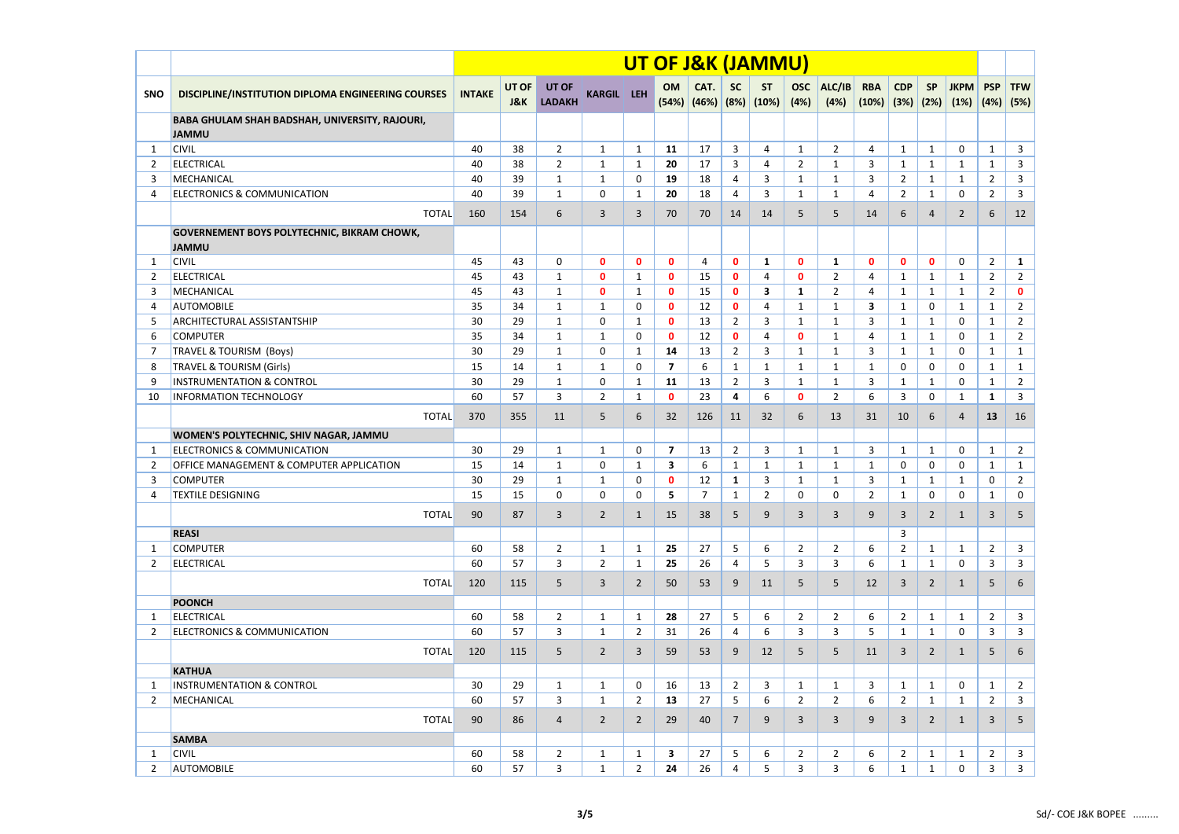|                |                                                                             |               |                         |                               |                     |                   | UT OF J&K (JAMMU)       |                                |                     |                    |                    |                                |                     |                         |                   |                     |                              |                                |
|----------------|-----------------------------------------------------------------------------|---------------|-------------------------|-------------------------------|---------------------|-------------------|-------------------------|--------------------------------|---------------------|--------------------|--------------------|--------------------------------|---------------------|-------------------------|-------------------|---------------------|------------------------------|--------------------------------|
| <b>SNO</b>     | DISCIPLINE/INSTITUTION DIPLOMA ENGINEERING COURSES                          | <b>INTAKE</b> | UT OF<br><b>J&amp;K</b> | <b>UT OF</b><br><b>LADAKH</b> | <b>KARGIL LEH</b>   |                   | OM                      | CAT.<br>$(54%)$ $(46%)$ $(8%)$ | <b>SC</b>           | <b>ST</b><br>(10%) | <b>OSC</b><br>(4%) | ALC/IB<br>(4%)                 | <b>RBA</b><br>(10%) | <b>CDP</b><br>(3%) (2%) | <b>SP</b>         | <b>JKPM</b><br>(1%) | <b>PSP</b><br>(4%)           | <b>TFW</b><br>(5%)             |
|                | BABA GHULAM SHAH BADSHAH, UNIVERSITY, RAJOURI,<br><b>JAMMU</b>              |               |                         |                               |                     |                   |                         |                                |                     |                    |                    |                                |                     |                         |                   |                     |                              |                                |
| -1             | <b>CIVIL</b>                                                                | 40            | 38                      | $\overline{2}$                | 1                   | 1                 | 11                      | 17                             | 3                   | $\overline{4}$     | $\mathbf{1}$       | $\overline{2}$                 | 4                   | $\mathbf{1}$            | $\mathbf{1}$      | 0                   | $\mathbf{1}$                 | $\mathbf{3}$                   |
| 2              | <b>ELECTRICAL</b>                                                           | 40            | 38                      | $\overline{2}$                | 1                   | 1                 | 20                      | 17                             | 3                   | 4                  | $\overline{2}$     | $\mathbf{1}$                   | 3                   | 1                       | $\mathbf{1}$      | 1                   | $\mathbf{1}$                 | 3                              |
| 3              | MECHANICAL                                                                  | 40            | 39                      | 1                             | $\mathbf{1}$        | 0                 | 19                      | 18                             | 4                   | 3                  | $\mathbf{1}$       | $\mathbf{1}$                   | 3                   | $\overline{2}$          | $\mathbf{1}$      | $\mathbf{1}$        | $\overline{2}$               | 3                              |
| 4              | <b>ELECTRONICS &amp; COMMUNICATION</b>                                      | 40            | 39                      | $\mathbf{1}$                  | 0                   | $\mathbf{1}$      | 20                      | 18                             | 4                   | 3                  | 1                  | 1                              | 4                   | $\overline{2}$          | $\mathbf{1}$      | 0                   | $\overline{2}$               | 3                              |
|                | <b>TOTAL</b>                                                                | 160           | 154                     | 6                             | 3                   | 3                 | 70                      | 70                             | 14                  | 14                 | 5                  | 5                              | 14                  | 6                       | $\overline{4}$    | 2                   | 6                            | 12                             |
|                | <b>GOVERNEMENT BOYS POLYTECHNIC, BIKRAM CHOWK,</b><br><b>JAMMU</b>          |               |                         |                               |                     |                   |                         |                                |                     |                    |                    |                                |                     |                         |                   |                     |                              |                                |
| -1             | <b>CIVIL</b>                                                                | 45            | 43                      | 0                             | $\mathbf{0}$        | $\mathbf 0$       | $\mathbf 0$             | 4                              | $\mathbf 0$         | $\mathbf{1}$       | 0                  | $\mathbf{1}$                   | $\mathbf 0$         | $\mathbf{0}$            | $\mathbf 0$       | 0                   | $\overline{2}$               | $\mathbf{1}$                   |
| $\overline{2}$ | <b>ELECTRICAL</b>                                                           | 45            | 43                      | 1                             | $\mathbf 0$         | 1                 | $\mathbf 0$             | 15                             | $\mathbf 0$         | 4                  | 0                  | $\overline{2}$                 | 4                   | 1                       | $\mathbf{1}$      | 1                   | $\overline{2}$               | $\overline{2}$                 |
| 3              | MECHANICAL                                                                  | 45            | 43                      | $\mathbf{1}$                  | $\mathbf{0}$        | 1                 | $\mathbf 0$             | 15                             | $\mathbf 0$         | 3                  | 1                  | $\overline{2}$                 | 4                   | 1                       | $\mathbf{1}$      | 1                   | $\overline{2}$               | $\mathbf 0$                    |
| 4              | <b>AUTOMOBILE</b>                                                           | 35            | 34                      | 1                             | $\mathbf{1}$        | 0                 | $\mathbf 0$             | 12                             | $\mathbf{0}$        | 4                  | 1                  | 1                              | 3                   | 1                       | $\mathbf 0$       | 1                   | $\mathbf{1}$                 | $2^{\circ}$                    |
| 5              | <b>ARCHITECTURAL ASSISTANTSHIP</b>                                          | 30            | 29                      | 1                             | 0                   | 1                 | $\mathbf 0$             | 13                             | $\overline{2}$      | 3                  | $\mathbf{1}$       | $\mathbf{1}$                   | 3                   | -1                      | $\mathbf{1}$      | 0                   | $\mathbf{1}$                 | $\overline{2}$                 |
| 6              | <b>COMPUTER</b>                                                             | 35            | 34                      | 1                             | 1                   | 0                 | $\mathbf 0$             | 12                             | $\mathbf 0$         | 4                  | 0                  | 1                              | 4                   | 1                       | $\mathbf{1}$      | 0                   | $\mathbf{1}$                 | $\overline{2}$                 |
| -7             | TRAVEL & TOURISM (Boys)                                                     | 30            | 29                      | $\mathbf{1}$                  | $\mathbf{0}$        | $\mathbf{1}$      | 14                      | 13                             | $\overline{2}$      | 3                  | 1                  | $\mathbf{1}$                   | 3                   | $\mathbf{1}$            | $\mathbf{1}$      | 0                   | $\mathbf{1}$                 | $\mathbf{1}$                   |
| 8              | <b>TRAVEL &amp; TOURISM (Girls)</b><br><b>INSTRUMENTATION &amp; CONTROL</b> | 15<br>30      | 14<br>29                | 1                             | $\mathbf{1}$        | 0                 | $\overline{\mathbf{z}}$ | 6<br>13                        | $\mathbf{1}$        | $\mathbf{1}$       | 1                  | 1                              | $\mathbf{1}$        | 0                       | 0                 | 0                   | $\mathbf{1}$                 | $\mathbf{1}$                   |
| 9<br>10        | <b>INFORMATION TECHNOLOGY</b>                                               | 60            | 57                      | 1<br>3                        | 0<br>$\overline{2}$ | 1<br>$\mathbf{1}$ | 11<br>$\mathbf{0}$      | 23                             | $\overline{2}$<br>4 | 3<br>6             | 1<br>$\mathbf{0}$  | $\mathbf{1}$<br>$\overline{2}$ | 3<br>6              | 1<br>3                  | $\mathbf{1}$<br>0 | 0<br>1              | $\mathbf{1}$<br>$\mathbf{1}$ | $\overline{2}$<br>$\mathbf{3}$ |
|                |                                                                             |               |                         |                               |                     |                   |                         |                                |                     |                    |                    |                                |                     |                         |                   |                     |                              |                                |
|                | <b>TOTAL</b>                                                                | 370           | 355                     | 11                            | 5                   | 6                 | 32                      | 126                            | 11                  | 32                 | 6                  | 13                             | 31                  | 10                      | 6                 | 4                   | 13                           | 16                             |
|                | WOMEN'S POLYTECHNIC, SHIV NAGAR, JAMMU                                      |               |                         |                               |                     |                   |                         |                                |                     |                    |                    |                                |                     |                         |                   |                     |                              |                                |
| 1              | <b>ELECTRONICS &amp; COMMUNICATION</b>                                      | 30            | 29                      | $\mathbf{1}$                  | $\mathbf{1}$        | $\mathbf{0}$      | $\overline{\mathbf{z}}$ | 13                             | $\overline{2}$      | 3                  | 1                  | $\mathbf{1}$                   | 3                   | $\mathbf{1}$            | $\mathbf{1}$      | 0                   | $\mathbf{1}$                 | $\overline{2}$                 |
| $\overline{2}$ | <b>OFFICE MANAGEMENT &amp; COMPUTER APPLICATION</b>                         | 15            | 14                      | $\mathbf{1}$                  | 0                   | $\mathbf{1}$      | 3                       | 6                              | $\mathbf{1}$        | $\mathbf{1}$       | $\mathbf{1}$       | $\mathbf{1}$                   | $\mathbf{1}$        | 0                       | 0                 | 0                   | $\mathbf{1}$                 | $\mathbf{1}$                   |
| 3              | <b>COMPUTER</b>                                                             | 30            | 29                      | $\mathbf{1}$                  | 1                   | 0                 | $\mathbf 0$             | 12                             | $\mathbf{1}$        | 3                  | $\mathbf{1}$       | $\mathbf{1}$                   | 3                   | 1                       | $\mathbf{1}$      | 1                   | 0                            | $\overline{2}$                 |
| 4              | TEXTILE DESIGNING                                                           | 15            | 15                      | 0                             | 0                   | 0                 | 5                       |                                | $\mathbf{1}$        | 2                  | 0                  | 0                              | 2                   | 1                       | 0                 | 0                   | 1                            | 0                              |
|                | <b>TOTAL</b>                                                                | 90            | 87                      | 3                             | $\overline{2}$      | $\mathbf{1}$      | 15                      | 38                             | 5                   | 9                  | 3                  | $\mathbf{3}$                   | 9                   | $\mathbf{3}$            | $\overline{2}$    | $\mathbf{1}$        | $\mathbf{3}$                 | 5                              |
|                | <b>REASI</b>                                                                |               |                         |                               |                     |                   |                         |                                |                     |                    |                    |                                |                     | 3                       |                   |                     |                              |                                |
| -1             | <b>COMPUTER</b>                                                             | 60            | 58                      | $\overline{2}$                | 1                   | 1                 | 25                      | 27                             | 5                   | 6                  | $\overline{2}$     | $\overline{2}$                 | 6                   | $\mathbf{2}$            | $\mathbf{1}$      | 1                   | $\overline{2}$               | 3                              |
| 2              | <b>ELECTRICAL</b>                                                           | 60            | 57                      | $\mathbf{3}$                  | 2 <sup>7</sup>      | 1                 | 25                      | 26                             | 4                   | 5                  | 3                  | $\overline{3}$                 | 6                   | 1                       | $\mathbf{1}$      | 0                   | 3                            | $\mathbf{3}$                   |
|                | <b>TOTAL</b>                                                                | 120           | 115                     | 5                             | $\mathbf{3}$        | $\overline{2}$    | 50                      | 53                             | 9                   | 11                 | 5                  | 5                              | 12                  | 3                       | $\overline{2}$    | $\mathbf{1}$        | 5                            | 6                              |
|                | <b>POONCH</b>                                                               |               |                         |                               |                     |                   |                         |                                |                     |                    |                    |                                |                     |                         |                   |                     |                              |                                |
| 1              | <b>ELECTRICAL</b>                                                           | 60            | 58                      | $\overline{2}$                | $\mathbf{1}$        | $\mathbf{1}$      | 28                      | 27                             | 5                   | 6                  | $2^{\circ}$        | $\overline{2}$                 | 6                   | $2^{\circ}$             | $\mathbf{1}$      | $\mathbf{1}$        | $\overline{2}$               | 3                              |
| 2              | <b>ELECTRONICS &amp; COMMUNICATION</b>                                      | 60            | 57                      | 3                             | 1                   | $\mathbf{2}$      | 31                      | 26                             | 4                   | 6                  | 3                  | 3                              | 5                   | 1                       | 1                 | 0                   | 3                            | 3                              |
|                | <b>TOTAL</b>                                                                | 120           | 115                     | 5                             | $\overline{2}$      | 3                 | 59                      | 53                             | 9                   | 12                 | 5                  | 5 <sup>5</sup>                 | 11                  | 3                       | $\overline{2}$    | $\mathbf{1}$        | 5 <sup>5</sup>               | 6                              |
|                | <b>KATHUA</b>                                                               |               |                         |                               |                     |                   |                         |                                |                     |                    |                    |                                |                     |                         |                   |                     |                              |                                |
| -1             | <b>INSTRUMENTATION &amp; CONTROL</b>                                        | 30            | 29                      | 1                             | $\mathbf{1}$        | 0                 | 16                      | 13                             | $\overline{2}$      | $\overline{3}$     | 1                  | $\mathbf{1}$                   | 3                   | 1                       | $\mathbf{1}$      | 0                   | $\mathbf{1}$                 | $2^{\circ}$                    |
| 2              | MECHANICAL                                                                  | 60            | 57                      | $\mathbf{3}$                  | $\mathbf{1}$        | $2^{\circ}$       | 13                      | 27                             | 5 <sub>1</sub>      | 6                  | $2^{\circ}$        | $\overline{2}$                 | 6                   | $\overline{2}$          | $\mathbf{1}$      | $\mathbf{1}$        | $\overline{2}$               | 3 <sup>1</sup>                 |
|                | <b>TOTAL</b>                                                                | 90            | 86                      | $\overline{4}$                | $\overline{2}$      | $\overline{2}$    | 29                      | 40                             | $7^{\circ}$         | 9                  | $\overline{3}$     | $\overline{3}$                 | 9                   | 3                       | $\overline{2}$    | $\mathbf{1}$        | 3                            | 5                              |
|                | <b>SAMBA</b>                                                                |               |                         |                               |                     |                   |                         |                                |                     |                    |                    |                                |                     |                         |                   |                     |                              |                                |
| 1              | <b>CIVIL</b>                                                                | 60            | 58                      | $\overline{2}$                | $\mathbf{1}$        | $\mathbf{1}$      | 3                       | 27                             | 5                   | 6                  | $\overline{2}$     | $\overline{2}$                 | 6                   | $2^{\circ}$             | $\mathbf{1}$      | 1                   | $\overline{2}$               | $\mathbf{3}$                   |
| 2              | <b>AUTOMOBILE</b>                                                           | 60            | 57                      | 3                             | $\mathbf{1}$        | $\overline{2}$    | 24                      | 26                             | 4                   | 5                  | $\mathbf{3}$       | 3                              | 6                   | $\mathbf{1}$            | $\mathbf{1}$      | 0                   | $\mathbf{3}$                 | 3 <sup>7</sup>                 |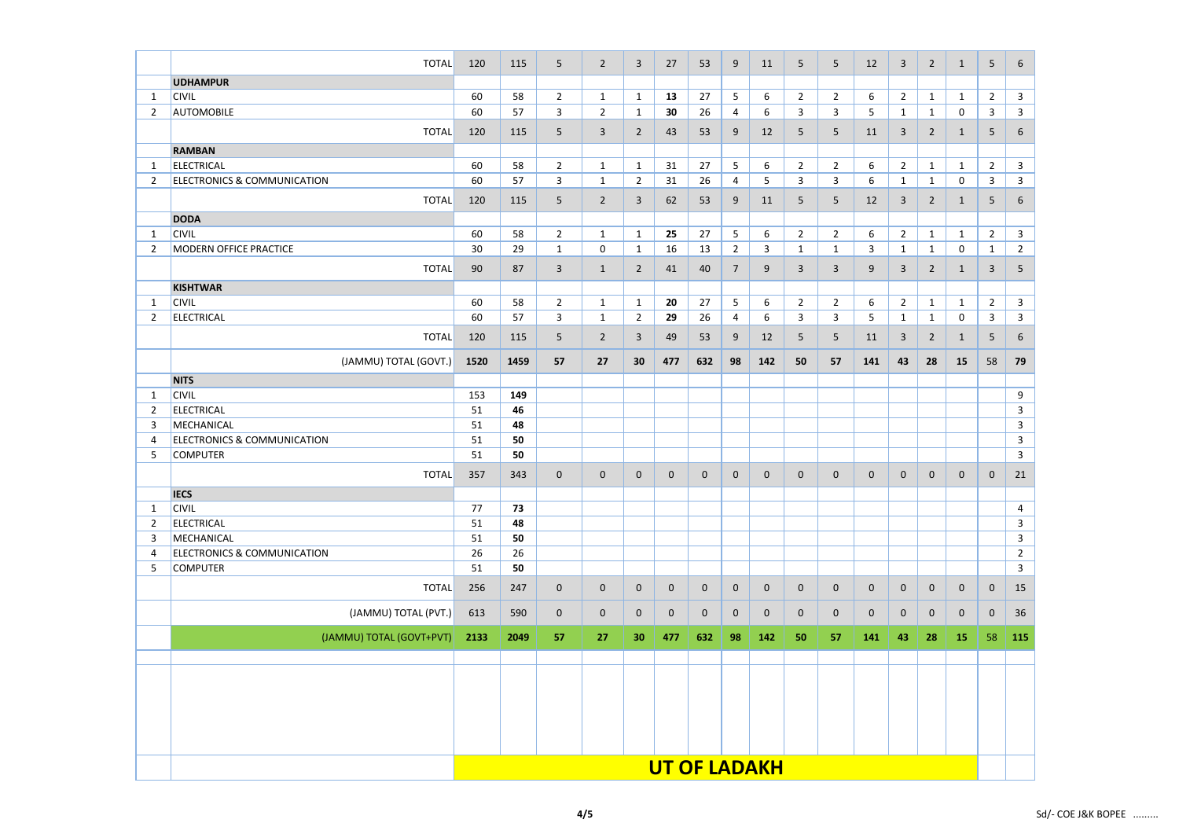|                                | <b>TOTAL</b>                           | 120  | 115  | 5              | $2^{\circ}$    | 3                              | 27          | 53             | 9              | 11                  | $5\phantom{.}$ | 5              | 12           | $\overline{3}$ | $2^{\circ}$                  | 1                 | 5              | 6                              |
|--------------------------------|----------------------------------------|------|------|----------------|----------------|--------------------------------|-------------|----------------|----------------|---------------------|----------------|----------------|--------------|----------------|------------------------------|-------------------|----------------|--------------------------------|
|                                | <b>UDHAMPUR</b>                        |      |      |                |                |                                |             |                |                |                     |                |                |              |                |                              |                   |                |                                |
| $\mathbf 1$                    | <b>CIVIL</b>                           | 60   | 58   | $\overline{2}$ | $\mathbf{1}$   | $\mathbf{1}$                   | 13          | 27             | 5              | 6                   | $\overline{2}$ | $\overline{2}$ | 6            | $\overline{2}$ | $\mathbf{1}$                 | $\mathbf{1}$      | $\overline{2}$ | $\mathbf{3}$                   |
| $\overline{2}$                 | <b>AUTOMOBILE</b>                      | 60   | 57   | $\mathbf{3}$   | $2^{\circ}$    | $\mathbf{1}$                   | 30          | 26             | 4              | 6                   | 3              | $\mathbf{3}$   | 5            | $\mathbf{1}$   | $\mathbf{1}$                 | 0                 | $\mathbf{3}$   | $\mathbf{3}$                   |
|                                | <b>TOTAL</b>                           | 120  | 115  | 5              | $\mathbf{3}$   | $\overline{2}$                 | 43          | 53             | 9              | 12                  |                | 5              |              | $\overline{3}$ |                              |                   |                |                                |
|                                |                                        |      |      |                |                |                                |             |                |                |                     | 5              |                | 11           |                | $\overline{2}$               | $\mathbf{1}$      | 5              | 6                              |
|                                | <b>RAMBAN</b>                          |      |      |                |                |                                |             |                |                |                     |                |                |              |                |                              |                   |                |                                |
| $\mathbf{1}$                   | <b>ELECTRICAL</b>                      | 60   | 58   | $\overline{2}$ | $\mathbf{1}$   | $\mathbf{1}$                   | 31          | 27             | 5              | 6                   | $\overline{2}$ | $\overline{2}$ | 6            | $\overline{2}$ | $\mathbf{1}$                 | $\mathbf{1}$      | $\overline{2}$ | $\mathbf{3}$                   |
| $\overline{2}$                 | <b>ELECTRONICS &amp; COMMUNICATION</b> | 60   | 57   | 3              | $\mathbf{1}$   | $2^{\circ}$                    | 31          | 26             | 4              | 5                   | 3              | $\mathbf{3}$   | 6            | $\mathbf{1}$   | $\mathbf{1}$                 | 0                 | $\mathbf{3}$   | $\mathbf{3}$                   |
|                                | <b>TOTAL</b>                           | 120  | 115  | 5              | $\overline{2}$ | $\overline{3}$                 | 62          | 53             | 9              | 11                  | $5\phantom{.}$ | 5              | 12           | $\overline{3}$ | $\overline{2}$               | 1                 | 5              | 6                              |
|                                | <b>DODA</b>                            |      |      |                |                |                                |             |                |                |                     |                |                |              |                |                              |                   |                |                                |
| $\mathbf 1$                    | <b>CIVIL</b>                           | 60   | 58   | $\overline{2}$ | $\mathbf{1}$   | $\mathbf{1}$                   | 25          | 27             | 5              | 6                   | $\overline{2}$ | $\overline{2}$ | 6            | $\overline{2}$ | $\mathbf{1}$                 | $\mathbf{1}$      | $\overline{2}$ | $\mathbf{3}$                   |
| $\overline{2}$                 | MODERN OFFICE PRACTICE                 | 30   | 29   | $\mathbf{1}$   | $\mathbf 0$    | $\mathbf{1}$                   | 16          | 13             | $\overline{2}$ | $\mathbf{3}$        | $\mathbf{1}$   | $\mathbf{1}$   | $\mathbf{3}$ | $\mathbf{1}$   | $\mathbf{1}$                 | 0                 | $\mathbf{1}$   | $\overline{2}$                 |
|                                | <b>TOTAL</b>                           | 90   | 87   | $\mathbf{3}$   | $\mathbf{1}$   | $\overline{2}$                 | 41          | 40             | $\overline{7}$ | 9                   | $\overline{3}$ | $\mathbf{3}$   | 9            | $\overline{3}$ | $\overline{2}$               | $\mathbf{1}$      | $\overline{3}$ | $5\phantom{.}$                 |
|                                |                                        |      |      |                |                |                                |             |                |                |                     |                |                |              |                |                              |                   |                |                                |
|                                | <b>KISHTWAR</b><br><b>CIVIL</b>        | 60   | 58   | $\overline{2}$ | $\mathbf{1}$   |                                | 20          | 27             | 5              | 6                   | $\overline{2}$ | $\overline{2}$ | 6            | $\overline{2}$ |                              |                   | $\overline{2}$ |                                |
| $\mathbf{1}$<br>$\overline{2}$ | <b>ELECTRICAL</b>                      | 60   | 57   | 3              | $\mathbf{1}$   | $\mathbf{1}$<br>$\overline{2}$ | 29          | 26             | 4              | 6                   | 3              | $\mathbf{3}$   | 5            | $\mathbf{1}$   | $\mathbf{1}$<br>$\mathbf{1}$ | $\mathbf{1}$<br>0 | $\mathbf{3}$   | $\overline{3}$<br>$\mathbf{3}$ |
|                                |                                        |      |      |                |                |                                |             |                |                |                     |                |                |              |                |                              |                   |                |                                |
|                                | <b>TOTAL</b>                           | 120  | 115  | 5              | $\overline{2}$ | $\overline{3}$                 | 49          | 53             | 9              | 12                  | 5              | 5              | 11           | $\overline{3}$ | $2^{\circ}$                  | $\mathbf{1}$      | 5              | 6                              |
|                                | (JAMMU) TOTAL (GOVT.)                  | 1520 | 1459 | 57             | 27             | 30                             | 477         | 632            | 98             | 142                 | 50             | 57             | 141          | 43             | 28                           | 15                | 58             | 79                             |
|                                |                                        |      |      |                |                |                                |             |                |                |                     |                |                |              |                |                              |                   |                |                                |
|                                | <b>NITS</b><br><b>CIVIL</b>            | 153  | 149  |                |                |                                |             |                |                |                     |                |                |              |                |                              |                   |                | 9                              |
| $\mathbf 1$<br>$\overline{2}$  | <b>ELECTRICAL</b>                      | 51   | 46   |                |                |                                |             |                |                |                     |                |                |              |                |                              |                   |                | $\mathbf{3}$                   |
| 3                              | MECHANICAL                             | 51   | 48   |                |                |                                |             |                |                |                     |                |                |              |                |                              |                   |                | $\mathsf{3}$                   |
| 4                              | <b>ELECTRONICS &amp; COMMUNICATION</b> | 51   | 50   |                |                |                                |             |                |                |                     |                |                |              |                |                              |                   |                | $\mathsf{3}$                   |
| 5                              | <b>COMPUTER</b>                        | 51   | 50   |                |                |                                |             |                |                |                     |                |                |              |                |                              |                   |                | $\mathsf{3}$                   |
|                                |                                        |      |      |                |                |                                |             |                |                |                     |                |                |              |                |                              |                   |                |                                |
|                                | <b>TOTAL</b>                           | 357  | 343  | $\mathbf 0$    | $\mathbf 0$    | $\mathbf 0$                    | $\mathbf 0$ | $\mathbf 0$    | $\mathbf{0}$   | $\mathbf 0$         | $\mathbf 0$    | $\mathbf 0$    | $\mathbf 0$  | $\mathbf{0}$   | $\mathbf 0$                  | $\mathbf 0$       | $\mathbf 0$    | 21                             |
|                                | <b>IECS</b>                            |      |      |                |                |                                |             |                |                |                     |                |                |              |                |                              |                   |                |                                |
| 1                              | <b>CIVIL</b>                           | 77   | 73   |                |                |                                |             |                |                |                     |                |                |              |                |                              |                   |                | 4                              |
| $\overline{2}$                 | <b>ELECTRICAL</b>                      | 51   | 48   |                |                |                                |             |                |                |                     |                |                |              |                |                              |                   |                | $\mathbf{3}$                   |
| 3                              | MECHANICAL                             | 51   | 50   |                |                |                                |             |                |                |                     |                |                |              |                |                              |                   |                | $\mathsf{3}$                   |
| 4                              | <b>ELECTRONICS &amp; COMMUNICATION</b> | 26   | 26   |                |                |                                |             |                |                |                     |                |                |              |                |                              |                   |                | $\overline{2}$                 |
| 5                              | <b>COMPUTER</b>                        | 51   | 50   |                |                |                                |             |                |                |                     |                |                |              |                |                              |                   |                | $\mathbf{3}$                   |
|                                | <b>TOTAL</b>                           | 256  | 247  | $\mathbf 0$    | $\mathbf 0$    | $\mathbf 0$                    | $\mathbf 0$ | $\overline{0}$ | $\mathbf 0$    | $\overline{0}$      | $\mathbf 0$    | $\overline{0}$ | $\mathbf 0$  | $\mathbf{0}$   | $\mathbf 0$                  | $\mathbf 0$       | $\mathbf{0}$   | 15                             |
|                                | (JAMMU) TOTAL (PVT.)                   | 613  | 590  | $\mathbf 0$    | $\mathbf 0$    | $\mathbf 0$                    | $\mathbf 0$ | $\mathbf 0$    | $\mathbf{0}$   | $\mathbf 0$         | $\mathbf 0$    | $\mathbf 0$    | $\mathbf 0$  | $\mathbf{0}$   | $\mathbf 0$                  | $\mathbf 0$       | $\mathbf{0}$   | 36                             |
|                                |                                        |      |      |                |                |                                |             |                |                |                     |                |                |              |                |                              |                   |                |                                |
|                                | (JAMMU) TOTAL (GOVT+PVT)               | 2133 | 2049 | 57             | 27             | 30                             | 477         | 632            | 98             | 142                 | 50             | 57             | 141          | 43             | 28                           | <b>15</b>         | 58             | 115                            |
|                                |                                        |      |      |                |                |                                |             |                |                |                     |                |                |              |                |                              |                   |                |                                |
|                                |                                        |      |      |                |                |                                |             |                |                |                     |                |                |              |                |                              |                   |                |                                |
|                                |                                        |      |      |                |                |                                |             |                |                |                     |                |                |              |                |                              |                   |                |                                |
|                                |                                        |      |      |                |                |                                |             |                |                |                     |                |                |              |                |                              |                   |                |                                |
|                                |                                        |      |      |                |                |                                |             |                |                |                     |                |                |              |                |                              |                   |                |                                |
|                                |                                        |      |      |                |                |                                |             |                |                |                     |                |                |              |                |                              |                   |                |                                |
|                                |                                        |      |      |                |                |                                |             |                |                |                     |                |                |              |                |                              |                   |                |                                |
|                                |                                        |      |      |                |                |                                |             |                |                | <b>UT OF LADAKH</b> |                |                |              |                |                              |                   |                |                                |
|                                |                                        |      |      |                |                |                                |             |                |                |                     |                |                |              |                |                              |                   |                |                                |